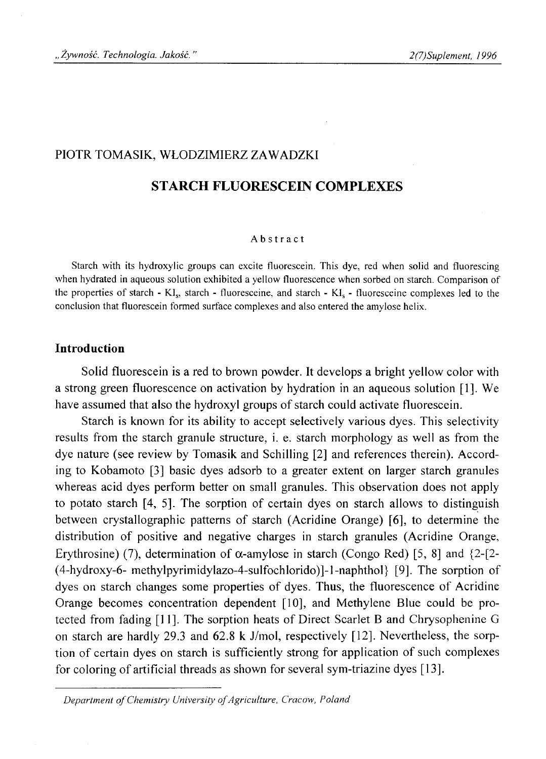## PIOTR TOMASIK, WŁODZIMIERZ ZAWADZKI

# **STARCH FLUORESCEIN COMPLEXES**

#### Abstract

Starch with its hydroxyiic groups can excite fluorescein. This dye, red when solid and fluorescing when hydrated in aqueous solution exhibited a yellow fluorescence when sorbed on starch. Comparison of the properties of starch - KI<sub>s</sub>, starch - fluoresceine, and starch - KI<sub>s</sub> - fluoresceine complexes led to the conclusion that fluorescein formed surface complexes and also entered the amylose helix.

## **Introduction**

Solid fluorescein is a red to brown powder. It develops a bright yellow color with a strong green fluorescence on activation by hydration in an aqueous solution [1]. We have assumed that also the hydroxyl groups of starch could activate fluorescein.

Starch is known for its ability to accept selectively various dyes. This selectivity results from the starch granule structure, i. e. starch morphology as well as from the dye nature (see review by Tomasik and Schilling [2] and references therein). According to Kobamoto [3] basic dyes adsorb to a greater extent on larger starch granules whereas acid dyes perform better on small granules. This observation does not apply to potato starch [4, 5]. The sorption of certain dyes on starch allows to distinguish between crystallographic patterns of starch (Acridine Orange) [6], to determine the distribution of positive and negative charges in starch granules (Acridine Orange, Erythrosine) (7), determination of  $\alpha$ -amylose in starch (Congo Red) [5, 8] and {2-[2-(4-hydroxy-6- methylpyrimidylazo-4-sulfochlorido)]-l-naphthol} [9]. The sorption of dyes on starch changes some properties of dyes. Thus, the fluorescence of Acridine Orange becomes concentration dependent [10], and Methylene Blue could be protected from fading [11]. The sorption heats of Direct Scarlet B and Chrysophenine G on starch are hardly 29.3 and 62.8 k J/mol, respectively [12], Nevertheless, the sorption of certain dyes on starch is sufficiently strong for application of such complexes for coloring of artificial threads as shown for several sym-triazine dyes [13].

Department of Chemistry University of Agriculture, Cracow, Poland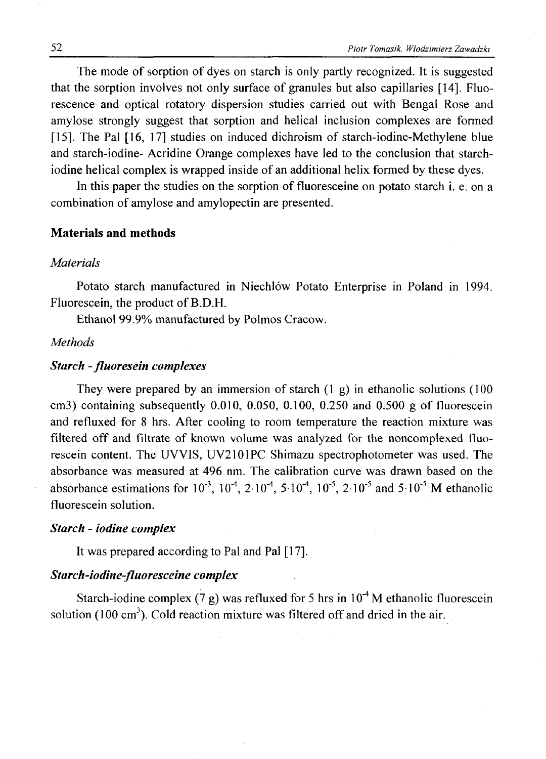The mode of sorption of dyes on starch is only partly recognized. It is suggested that the sorption involves not only surface of granules but also capillaries [14]. Fluorescence and optical rotatory dispersion studies carried out with Bengal Rose and amylose strongly suggest that sorption and helical inclusion complexes are formed [15]. The Pal [16, 17] studies on induced dichroism of starch-iodine-Methylene blue and starch-iodine- Acridine Orange complexes have led to the conclusion that starchiodine helical complex is wrapped inside of an additional helix formed by these dyes.

In this paper the studies on the sorption of fluoresceine on potato starch i. e. on a combination of amylose and amylopectin are presented.

### **Materials and methods**

## *Materials*

Potato starch manufactured in Niechlów Potato Enterprise in Poland in 1994. Fluorescein, the product of B.D.H.

Ethanol 99.9% manufactured by Polmos Cracow.

## *Methods*

# *Starch - fluoresein complexes*

They were prepared by an immersion of starch  $(1 \text{ g})$  in ethanolic solutions  $(100 \text{ m})$ cm3) containing subsequently  $0.010$ ,  $0.050$ ,  $0.100$ ,  $0.250$  and  $0.500$  g of fluorescein and refluxed for 8 hrs. After cooling to room temperature the reaction mixture was filtered off and filtrate of known volume was analyzed for the noncomplexed fluorescein content. The UVVIS, UV2101PC Shimazu spectrophotometer was used. The absorbance was measured at 496 nm. The calibration curve was drawn based on the absorbance estimations for  $10^{-3}$ ,  $10^{-4}$ ,  $2 \cdot 10^{-4}$ ,  $5 \cdot 10^{-4}$ ,  $10^{-5}$ ,  $2 \cdot 10^{-5}$  and  $5 \cdot 10^{-5}$  M ethanolic fluorescein solution.

#### *Starch - iodine complex*

It was prepared according to Pal and Pal [17].

# *Starch-iodine-fluoresceine complex*

Starch-iodine complex (7 g) was refluxed for 5 hrs in  $10^{-4}$  M ethanolic fluorescein solution  $(100 \text{ cm}^3)$ . Cold reaction mixture was filtered off and dried in the air.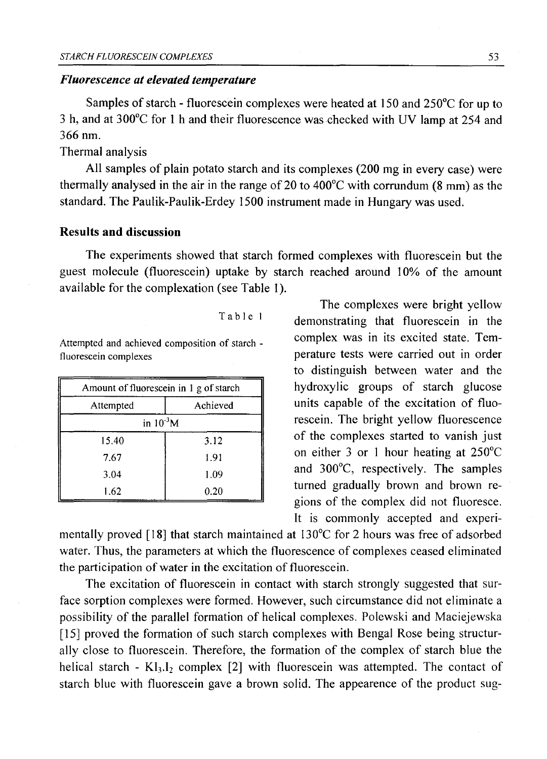### *Fluorescence at elevated temperature*

Samples of starch - fluorescein complexes were heated at 150 and 250°C for up to 3 h, and at 300°C for 1 h and their fluorescence was checked with UV lamp at 254 and 366 nm.

Thermal analysis

All samples of plain potato starch and its complexes (200 mg in every case) were thermally analysed in the air in the range of 20 to  $400^{\circ}$ C with corrundum (8 mm) as the standard. The Paulik-Paulik-Erdey 1500 instrument made in Hungary was used.

# **Results and discussion**

The experiments showed that starch formed complexes with fluorescein but the guest molecule (fluorescein) uptake by starch reached around 10% of the amount available for the complexation (see Table 1).

| Amount of fluorescein in 1 g of starch |          |
|----------------------------------------|----------|
| Attempted                              | Achieved |
| in $10^{-3}$ M                         |          |
| 15.40                                  | 3.12     |
| 7.67                                   | 1.91     |
| 3.04                                   | 1.09     |
| 1.62                                   | 0.20     |

The complexes were bright yellow Table 1 demonstrating that fluorescein in the Attempted and achieved composition of starch - complex was in its excited state. Temfluorescein complexes perature tests were carried out in order to distinguish between water and the hydroxylic groups of starch glucose units capable of the excitation of fluorescein. The bright yellow fluorescence of the complexes started to vanish just on either 3 or 1 hour heating at 250°C and 300°C, respectively. The samples turned gradually brown and brown regions of the complex did not fluoresce. It is commonly accepted and experi-

mentally proved [18] that starch maintained at 130°C for 2 hours was free of adsorbed water. Thus, the parameters at which the fluorescence of complexes ceased eliminated the participation of water in the excitation of fluorescein.

The excitation of fluorescein in contact with starch strongly suggested that surface sorption complexes were formed. However, such circumstance did not eliminate a possibility of the parallel formation of helical complexes. Polewski and Maciejewska [15] proved the formation of such starch complexes with Bengal Rose being structurally close to fluorescein. Therefore, the formation of the complex of starch blue the helical starch -  $KI_3,I_2$  complex [2] with fluorescein was attempted. The contact of starch blue with fluorescein gave a brown solid. The appearence of the product sug-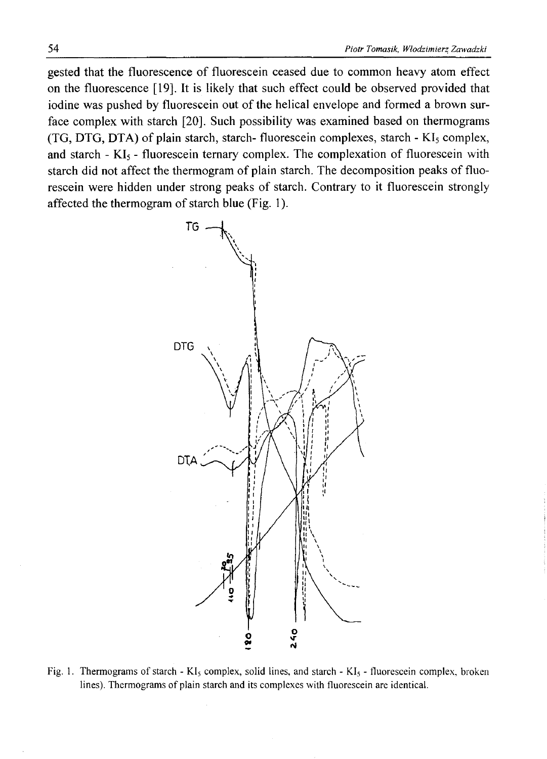gested that the fluorescence of fluorescein ceased due to common heavy atom effect on the fluorescence [19], It is likely that such effect could be observed provided that iodine was pushed by fluorescein out of the helical envelope and formed a brown surface complex with starch [20], Such possibility was examined based on thermograms  $(TG, DTG, DTA)$  of plain starch, starch- fluorescein complexes, starch - KI<sub>5</sub> complex, and starch  $-KI_5$  - fluorescein ternary complex. The complexation of fluorescein with starch did not affect the thermogram of plain starch. The decomposition peaks of fluorescein were hidden under strong peaks of starch. Contrary to it fluorescein strongly affected the thermogram of starch blue (Fig. 1).



Fig. 1. Thermograms of starch - KI<sub>5</sub> complex, solid lines, and starch - KI<sub>5</sub> - fluorescein complex, broken lines). Thermograms of plain starch and its complexes with fluorescein are identical.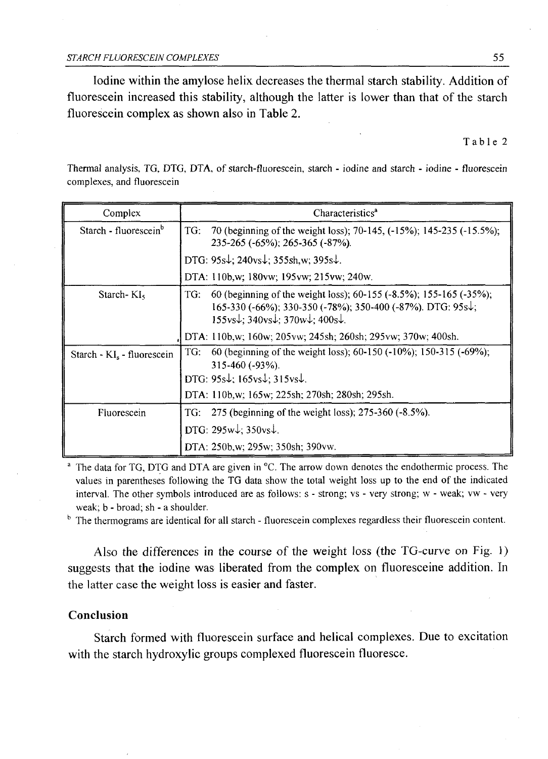Iodine within the amylose helix decreases the thermal starch stability. Addition of fluorescein increased this stability, although the latter is lower than that of the starch fluorescein complex as shown also in Table 2.

Table 2

Thermal analysis, TG, DTG, DTA, of starch-fluorescein, starch - iodine and starch - iodine - fluorescein complexes, and fluorescein

| Complex                                | Characteristics <sup>a</sup>                                                                                                                                                                                                                                                    |  |
|----------------------------------------|---------------------------------------------------------------------------------------------------------------------------------------------------------------------------------------------------------------------------------------------------------------------------------|--|
| Starch - fluorescein <sup>b</sup>      | TG:<br>70 (beginning of the weight loss); 70-145, (-15%); 145-235 (-15.5%);<br>235-265 (-65%); 265-365 (-87%).                                                                                                                                                                  |  |
|                                        | DTG: $95s\downarrow$ ; 240vs $\downarrow$ ; 355sh,w; 395s $\downarrow$ .                                                                                                                                                                                                        |  |
|                                        | DTA: 110b,w; 180vw; 195vw; 215vw; 240w.                                                                                                                                                                                                                                         |  |
| Starch- $KI5$                          | 60 (beginning of the weight loss); 60-155 (-8.5%); 155-165 (-35%);<br>TG:<br>165-330 (-66%); 330-350 (-78%); 350-400 (-87%). DTG: $95s\ddot{\downarrow}$ ;<br>$155 \text{vs} \downarrow$ ; $340 \text{vs} \downarrow$ ; $370 \text{w} \downarrow$ ; $400 \text{s} \downarrow$ . |  |
|                                        | DTA: 110b,w; 160w; 205vw; 245sh; 260sh; 295vw; 370w; 400sh.                                                                                                                                                                                                                     |  |
| Starch - KI <sub>s</sub> - fluorescein | 60 (beginning of the weight loss); 60-150 (-10%); 150-315 (-69%);<br>TG:<br>$315-460$ ( $-93\%$ ).                                                                                                                                                                              |  |
|                                        | DTG: $95s\downarrow$ ; $165vs\downarrow$ ; $315vs\downarrow$ .                                                                                                                                                                                                                  |  |
|                                        | DTA: 110b,w; 165w; 225sh; 270sh; 280sh; 295sh.                                                                                                                                                                                                                                  |  |
| Fluorescein                            | 275 (beginning of the weight loss); 275-360 (-8.5%).<br>TG:                                                                                                                                                                                                                     |  |
|                                        | DTG: $295w\text{+}$ ; $350vs\text{+}$ .                                                                                                                                                                                                                                         |  |
|                                        | DTA: 250b,w; 295w; 350sh; 390vw.                                                                                                                                                                                                                                                |  |

 $^{\circ}$  The data for TG, DTG and DTA are given in  $^{\circ}$ C. The arrow down denotes the endothermic process. The values in parentheses following the TG data show the total weight loss up to the end of the indicated interval. The other symbols introduced are as follows: s - strong; vs - very strong; w - weak; vw - very weak; b - broad; sh - a shoulder.

<sup>b</sup> The thermograms are identical for all starch - fluorescein complexes regardless their fluorescein content.

Also the differences in the course of the weight loss (the TG-curve on Fig. 1) suggests that the iodine was liberated from the complex on fluoresceine addition. In the latter case the weight loss is easier and faster.

## **Conclusion**

Starch formed with fluorescein surface and helical complexes. Due to excitation with the starch hydroxylic groups complexed fluorescein fluoresce.